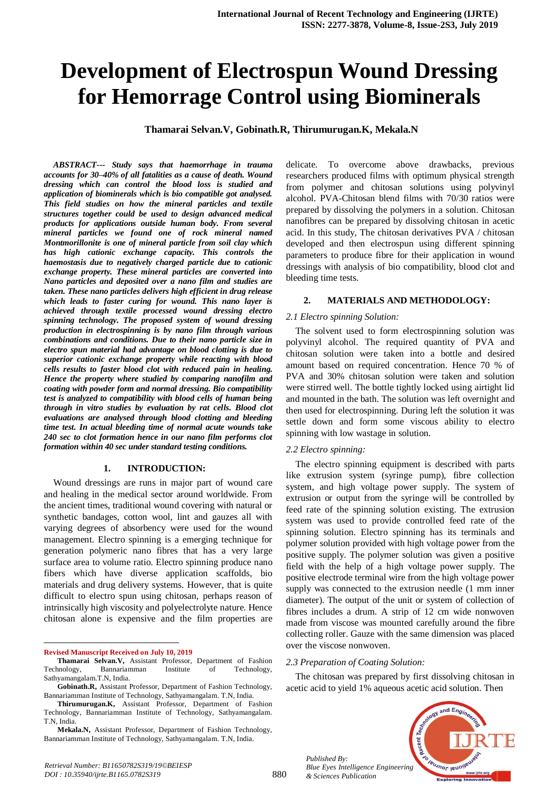# **Development of Electrospun Wound Dressing for Hemorrage Control using Biominerals**

**Thamarai Selvan.V, Gobinath.R, Thirumurugan.K, Mekala.N**

*ABSTRACT--- Study says that haemorrhage in trauma accounts for 30–40% of all fatalities as a cause of death. Wound dressing which can control the blood loss is studied and application of biominerals which is bio compatible got analysed. This field studies on how the mineral particles and textile structures together could be used to design advanced medical products for applications outside human body. From several mineral particles we found one of rock mineral named Montmorillonite is one of mineral particle from soil clay which has high cationic exchange capacity. This controls the haemostasis due to negatively charged particle due to cationic exchange property. These mineral particles are converted into Nano particles and deposited over a nano film and studies are taken. These nano particles delivers high efficient in drug release which leads to faster curing for wound. This nano layer is achieved through textile processed wound dressing electro spinning technology. The proposed system of wound dressing production in electrospinning is by nano film through various combinations and conditions. Due to their nano particle size in electro spun material had advantage on blood clotting is due to superior cationic exchange property while reacting with blood cells results to faster blood clot with reduced pain in healing. Hence the property where studied by comparing nanofilm and coating with powder form and normal dressing. Bio compatibility test is analyzed to compatibility with blood cells of human being through in vitro studies by evaluation by rat cells. Blood clot evaluations are analysed through blood clotting and bleeding time test. In actual bleeding time of normal acute wounds take 240 sec to clot formation hence in our nano film performs clot formation within 40 sec under standard testing conditions.*

## **1. INTRODUCTION:**

Wound dressings are runs in major part of wound care and healing in the medical sector around worldwide. From the ancient times, traditional wound covering with natural or synthetic bandages, cotton wool, lint and gauzes all with varying degrees of absorbency were used for the wound management. Electro spinning is a emerging technique for generation polymeric nano fibres that has a very large surface area to volume ratio. Electro spinning produce nano fibers which have diverse application scaffolds, bio materials and drug delivery systems. However, that is quite difficult to electro spun using chitosan, perhaps reason of intrinsically high viscosity and polyelectrolyte nature. Hence chitosan alone is expensive and the film properties are

**Revised Manuscript Received on July 10, 2019**

 $\overline{a}$ 

delicate. To overcome above drawbacks, previous researchers produced films with optimum physical strength from polymer and chitosan solutions using polyvinyl alcohol. PVA-Chitosan blend films with 70/30 ratios were prepared by dissolving the polymers in a solution. Chitosan nanofibres can be prepared by dissolving chitosan in acetic acid. In this study, The chitosan derivatives PVA / chitosan developed and then electrospun using different spinning parameters to produce fibre for their application in wound dressings with analysis of bio compatibility, blood clot and bleeding time tests.

#### **2. MATERIALS AND METHODOLOGY:**

#### *2.1 Electro spinning Solution:*

The solvent used to form electrospinning solution was polyvinyl alcohol. The required quantity of PVA and chitosan solution were taken into a bottle and desired amount based on required concentration. Hence 70 % of PVA and 30% chitosan solution were taken and solution were stirred well. The bottle tightly locked using airtight lid and mounted in the bath. The solution was left overnight and then used for electrospinning. During left the solution it was settle down and form some viscous ability to electro spinning with low wastage in solution.

#### *2.2 Electro spinning:*

The electro spinning equipment is described with parts like extrusion system (syringe pump), fibre collection system, and high voltage power supply. The system of extrusion or output from the syringe will be controlled by feed rate of the spinning solution existing. The extrusion system was used to provide controlled feed rate of the spinning solution. Electro spinning has its terminals and polymer solution provided with high voltage power from the positive supply. The polymer solution was given a positive field with the help of a high voltage power supply. The positive electrode terminal wire from the high voltage power supply was connected to the extrusion needle (1 mm inner diameter). The output of the unit or system of collection of fibres includes a drum. A strip of 12 cm wide nonwoven made from viscose was mounted carefully around the fibre collecting roller. Gauze with the same dimension was placed over the viscose nonwoven.

#### *2.3 Preparation of Coating Solution:*

The chitosan was prepared by first dissolving chitosan in acetic acid to yield 1% aqueous acetic acid solution. Then



880 *Published By: Blue Eyes Intelligence Engineering & Sciences Publication* 

**Thamarai Selvan.V,** Assistant Professor, Department of Fashion Technology, Bannariamman Institute of Technology, Sathyamangalam.T.N, India.

**Gobinath.R,** Assistant Professor, Department of Fashion Technology, Bannariamman Institute of Technology, Sathyamangalam. T.N, India.

**Thirumurugan.K,** Assistant Professor, Department of Fashion Technology, Bannariamman Institute of Technology, Sathyamangalam. T.N, India.

**Mekala.N,** Assistant Professor, Department of Fashion Technology, Bannariamman Institute of Technology, Sathyamangalam. T.N, India.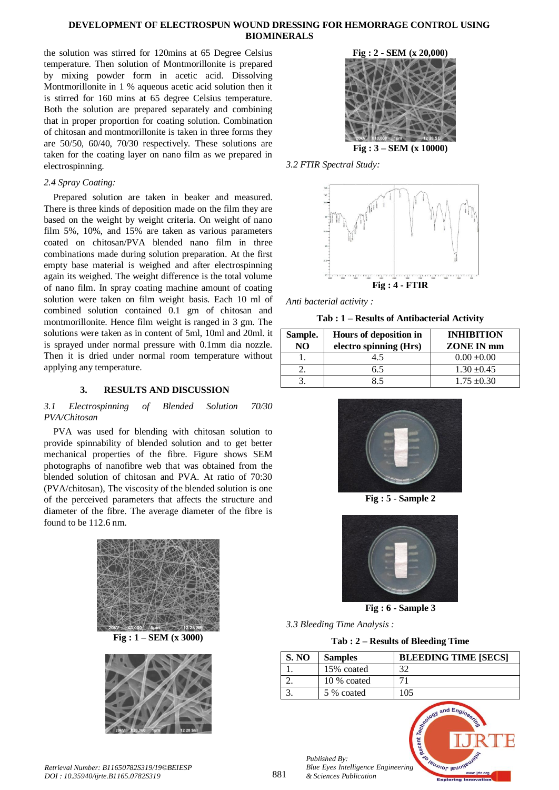## **DEVELOPMENT OF ELECTROSPUN WOUND DRESSING FOR HEMORRAGE CONTROL USING BIOMINERALS**

the solution was stirred for 120mins at 65 Degree Celsius temperature. Then solution of Montmorillonite is prepared by mixing powder form in acetic acid. Dissolving Montmorillonite in 1 % aqueous acetic acid solution then it is stirred for 160 mins at 65 degree Celsius temperature. Both the solution are prepared separately and combining that in proper proportion for coating solution. Combination of chitosan and montmorillonite is taken in three forms they are 50/50, 60/40, 70/30 respectively. These solutions are taken for the coating layer on nano film as we prepared in electrospinning.

# *2.4 Spray Coating:*

Prepared solution are taken in beaker and measured. There is three kinds of deposition made on the film they are based on the weight by weight criteria. On weight of nano film 5%, 10%, and 15% are taken as various parameters coated on chitosan/PVA blended nano film in three combinations made during solution preparation. At the first empty base material is weighed and after electrospinning again its weighed. The weight difference is the total volume of nano film. In spray coating machine amount of coating solution were taken on film weight basis. Each 10 ml of combined solution contained 0.1 gm of chitosan and montmorillonite. Hence film weight is ranged in 3 gm. The solutions were taken as in content of 5ml, 10ml and 20ml. it is sprayed under normal pressure with 0.1mm dia nozzle. Then it is dried under normal room temperature without applying any temperature.

# **3. RESULTS AND DISCUSSION**

## *3.1 Electrospinning of Blended Solution 70/30 PVA/Chitosan*

PVA was used for blending with chitosan solution to provide spinnability of blended solution and to get better mechanical properties of the fibre. Figure shows SEM photographs of nanofibre web that was obtained from the blended solution of chitosan and PVA. At ratio of 70:30 (PVA/chitosan), The viscosity of the blended solution is one of the perceived parameters that affects the structure and diameter of the fibre. The average diameter of the fibre is found to be 112.6 nm.



**Fig : 1 – SEM (x 3000)**



**Fig : 2 - SEM (x 20,000)**

**Fig : 3 – SEM (x 10000)**

*3.2 FTIR Spectral Study:*



*Anti bacterial activity :*

**Tab : 1 – Results of Antibacterial Activity**

| Sample.<br>N() | Hours of deposition in<br>electro spinning (Hrs) | <b>INHIBITION</b><br>ZONE IN mm |
|----------------|--------------------------------------------------|---------------------------------|
|                | 4.5                                              | $0.00 + 0.00$                   |
|                | 6.5                                              | $1.30 \pm 0.45$                 |
|                | 85                                               | $1.75 \pm 0.30$                 |



**Fig : 5 - Sample 2**



**Fig : 6 - Sample 3**

*3.3 Bleeding Time Analysis :*

**Tab : 2 – Results of Bleeding Time**

| <b>S. NO</b> | <b>Samples</b> | <b>BLEEDING TIME [SECS]</b> |
|--------------|----------------|-----------------------------|
|              | 15% coated     | 32                          |
|              | 10 % coated    |                             |
|              | 5 % coated     | 105                         |





*Retrieval Number: B11650782S319/19©BEIESP DOI : 10.35940/ijrte.B1165.0782S319*